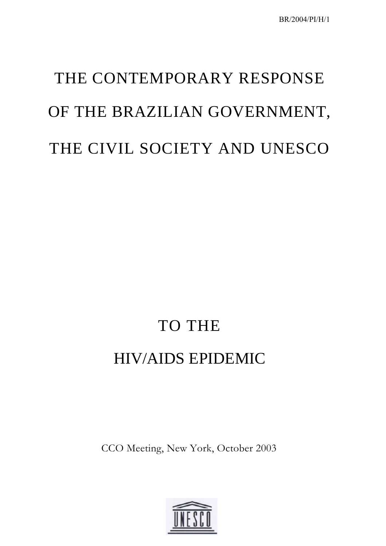# THE CONTEMPORARY RESPONSE OF THE BRAZILIAN GOVERNMENT, THE CIVIL SOCIETY AND UNESCO

# TO THE

## HIV/AIDS EPIDEMIC

CCO Meeting, New York, October 2003

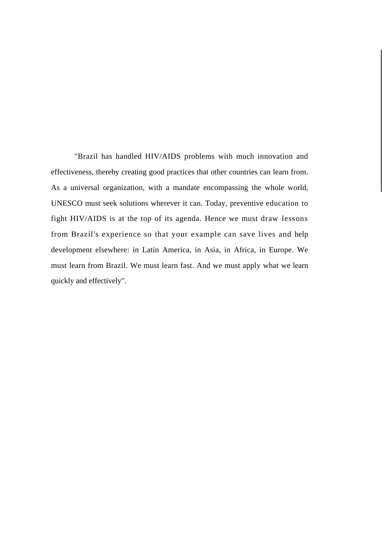"Brazil has handled HIV/AIDS problems with much innovation and effectiveness, thereby creating good practices that other countries can learn from. As a universal organization, with a mandate encompassing the whole world, UNESCO must seek solutions wherever it can. Today, preventive education to fight HIV/AIDS is at the top of its agenda. Hence we must draw lessons from Brazil's experience so that your example can save lives and help development elsewhere: in Latin America, in Asia, in Africa, in Europe. We must learn from Brazil. We must learn fast. And we must apply what we learn quickly and effectively".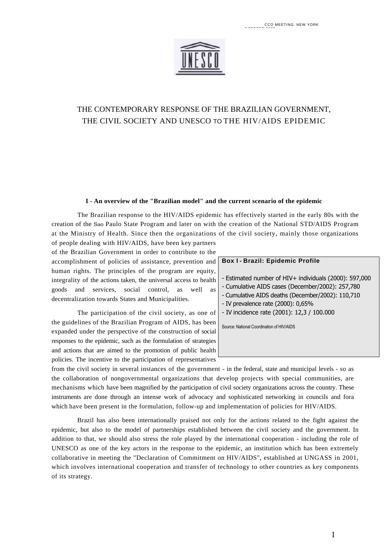

### THE CONTEMPORARY RESPONSE OF THE BRAZILIAN GOVERNMENT, THE CIVIL SOCIETY AND UNESCO TO THE HIV/AIDS EPIDEMIC

#### **I - An overview of the "Brazilian model" and the current scenario of the epidemic**

The Brazilian response to the HIV/AIDS epidemic has effectively started in the early 80s with the creation of the Sao Paulo State Program and later on with the creation of the National STD/AIDS Program at the Ministry of Health. Since then the organizations of the civil society, mainly those organizations

of people dealing with HIV/AIDS, have been key partners of the Brazilian Government in order to contribute to the accomplishment of policies of assistance, prevention and human rights. The principles of the program are equity, integrality of the actions taken, the universal access to health goods and services, social control, as well as decentralization towards States and Municipalities.

The participation of the civil society, as one of the guidelines of the Brazilian Program of AIDS, has been expanded under the perspective of the construction of social responses to the epidemic, such as the formulation of strategies and actions that are aimed to the promotion of public health policies. The incentive to the participation of representatives

#### **Box I - Brazil: Epidemic Profile**

- Estimated number of HIV+ individuals (2000): 597,000

- Cumulative AIDS cases (December/2002): 257,780
- Cumulative AIDS deaths (December/2002): 110,710
- IV prevalence rate (2000): 0,65%
- IV incidence rate (2001): 12,3 / 100.000

Source: National Coordination of HIV/AIDS

from the civil society in several instances of the government - in the federal, state and municipal levels - so as the collaboration of nongovernmental organizations that develop projects with special communities, are mechanisms which have been magnified by the participation of civil society organizations across the country. These instruments are done through an intense work of advocacy and sophisticated networking in councils and fora which have been present in the formulation, follow-up and implementation of policies for HIV/AIDS.

Brazil has also been internationally praised not only for the actions related to the fight against the epidemic, but also to the model of partnerships established between the civil society and the government. In addition to that, we should also stress the role played by the international cooperation - including the role of UNESCO as one of the key actors in the response to the epidemic, an institution which has been extremely collaborative in meeting the "Declaration of Commitment on HIV/AIDS", established at UNGASS in 2001, which involves international cooperation and transfer of technology to other countries as key components of its strategy.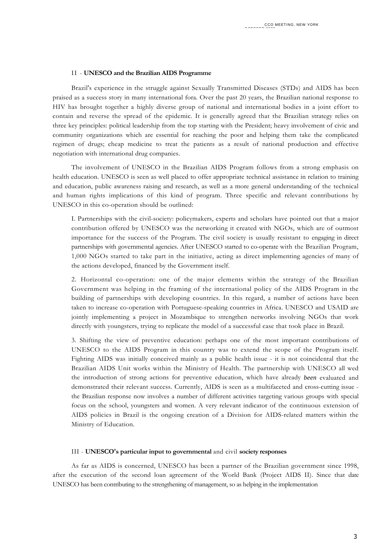#### II - **UNESCO and the Brazilian AIDS Programme**

Brazil's experience in the struggle against Sexually Transmitted Diseases (STDs) and AIDS has been praised as a success story in many international fora. Over the past 20 years, the Brazilian national response to HIV has brought together a highly diverse group of national and international bodies in a joint effort to contain and reverse the spread of the epidemic. It is generally agreed that the Brazilian strategy relies on three key principles: political leadership from the top starting with the President; heavy involvement of civic and community organizations which are essential for reaching the poor and helping them take the complicated regimen of drugs; cheap medicine to treat the patients as a result of national production and effective negotiation with international drug companies.

The involvement of UNESCO in the Brazilian AIDS Program follows from a strong emphasis on health education. UNESCO is seen as well placed to offer appropriate technical assistance in relation to training and education, public awareness raising and research, as well as a more general understanding of the technical and human rights implications of this kind of program. Three specific and relevant contributions by UNESCO in this co-operation should be outlined:

I. Partnerships with the civil-society: policymakers, experts and scholars have pointed out that a major contribution offered by UNESCO was the networking it created with NGOs, which are of outmost importance for the success of the Program. The civil society is usually resistant to engaging in direct partnerships with governmental agencies. After UNESCO started to co-operate with the Brazilian Program, 1,000 NGOs started to take part in the initiative, acting as direct implementing agencies of many of the actions developed, financed by the Government itself.

2. Horizontal co-operation: one of the major elements within the strategy of the Brazilian Government was helping in the framing of the international policy of the AIDS Program in the building of partnerships with developing countries. In this regard, a number of actions have been taken to increase co-operation with Portuguese-speaking countries in Africa. UNESCO and USAID are jointly implementing a project in Mozambique to strengthen networks involving NGOs that work directly with youngsters, trying to replicate the model of a successful case that took place in Brazil.

3. Shifting the view of preventive education: perhaps one of the most important contributions of UNESCO to the AIDS Program in this country was to extend the scope of the Program itself. Fighting AIDS was initially conceived mainly as a public health issue - it is not coincidental that the Brazilian AIDS Unit works within the Ministry of Health. The partnership with UNESCO all wed the introduction of strong actions for preventive education, which have already *been* evaluated and demonstrated their relevant success. Currently, AIDS is seen as a multifaceted and cross-cutting issue the Brazilian response now involves a number of different activities targeting various groups with special focus on the school, youngsters and women. A very relevant indicator of the continuous extension of AIDS policies in Brazil is the ongoing creation of a Division for AIDS-related matters within the Ministry of Education.

#### III - **UNESCO's particular input to governmental** and civil **society responses**

As far as AIDS is concerned, UNESCO has been a partner of the Brazilian government since 1998, after the execution of the second loan agreement of the World Bank (Project AIDS II). Since that date UNESCO has been contributing to the strengthening of management, so as helping in the implementation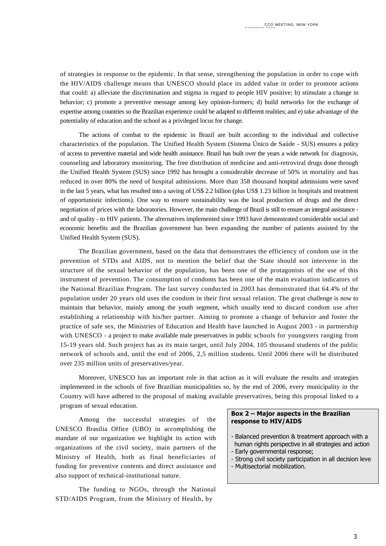of strategies in response to the epidemic. In that sense, strengthening the population in order to cope with the HIV/AIDS challenge means that UNESCO should place its added value in order to promote actions that could: a) alleviate the discrimination and stigma in regard to people HIV positive; b) stimulate a change in behavior; c) promote a preventive message among key opinion-formers; d) build networks for the exchange of expertise among countries so the Brazilian experience could be adapted to different realities; and e) take advantage of the potentiality of education and the school as a privileged locus for change.

The actions of combat to the epidemic in Brazil are built according to the individual and collective characteristics of the population. The Unified Health System (Sistema Único de Saúde - SUS) ensures a policy of access to preventive material and wide health assistance. Brazil has built over the years a wide network for diagnosis, counseling and laboratory monitoring. The free distribution of medicine and anti-retroviral drugs done through the Unified Health System (SUS) since 1992 has brought a considerable decrease of 50% in mortality and has reduced in over 80% the need of hospital admissions. More than 358 thousand hospital admissions were saved in the last 5 years, what has resulted into a saving of US\$ 2.2 billion (plus US\$ 1.23 billion in hospitals and treatment of opportunistic infections). One way to ensure sustainability was the local production of drugs and the direct negotiation of prices with the laboratories. However, the main challenge of Brazil is still to ensure an integral assistance and of quality - to HIV patients. The alternatives implemented since 1993 have demonstrated considerable social and economic benefits and the Brazilian government has been expanding the number of patients assisted by the Unified Health System (SUS).

The Brazilian government, based on the data that demonstrates the efficiency of condom use in the prevention of STDs and AIDS, not to mention the belief that the State should not intervene in the structure of the sexual behavior of the population, has been one of the protagonists of the use of this instrument of prevention. The consumption of condoms has been one of the main evaluation indicators of the National Brazilian Program. The last survey conducted in 2003 has demonstrated that 64.4% of the population under 20 years old uses the condom in their first sexual relation. The great challenge is now to maintain that behavior, mainly among the youth segment, which usually tend to discard condom use after establishing a relationship with his/her partner. Aiming to promote a change of behavior and foster the practice of safe sex, the Ministries of Education and Health have launched in August 2003 - in partnership with UNESCO - a project to make available male preservatives in public schools for youngsters ranging from 15-19 years old. Such project has as its main target, until July 2004, 105 thousand students of the public network of schools and, until the end of 2006, 2,5 million students. Until 2006 there will be distributed over 235 million units of preservatives/year.

Moreover, UNESCO has an important role in that action as it will evaluate the results and strategies implemented in the schools of five Brazilian municipalities so, by the end of 2006, every municipality in the Country will have adhered to the proposal of making available preservatives, being this proposal linked to a program of sexual education.

Among the successful strategies of the UNESCO Brasilia Office (UBO) in accomplishing the mandate of our organization we highlight its action with organizations of the civil society, main partners of the Ministry of Health, both as final beneficiaries of funding for preventive contents and direct assistance and also support of technical-institutional nature.

The funding to NGOs, through the National STD/AIDS Program, from the Ministry of Health, by

#### **Box 2 – Major aspects in the Brazilian response to HIV/AIDS**

- Balanced prevention & treatment approach with a human rights perspective in all strategies and action
- Early governmental response;
- Strong civil society participation in all decision leve - Multisectorial mobilization.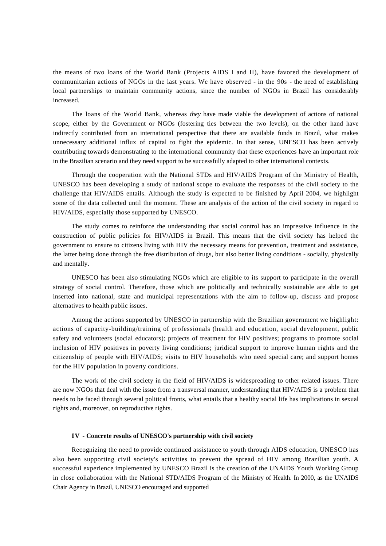the means of two loans of the World Bank (Projects AIDS I and II), have favored the development of communitarian actions of NGOs in the last years. We have observed - in the 90s - the need of establishing local partnerships to maintain community actions, since the number of NGOs in Brazil has considerably increased.

The loans of the World Bank, whereas *they* have made viable the development of actions of national scope, either by the Government or NGOs (fostering ties between the two levels), on the other hand have indirectly contributed from an international perspective that there are available funds in Brazil, what makes unnecessary additional influx of capital to fight the epidemic. In that sense, UNESCO has been actively contributing towards demonstrating to the international community that these experiences have an important role in the Brazilian scenario and they need support to be successfully adapted to other international contexts.

Through the cooperation with the National STDs and HIV/AIDS Program of the Ministry of Health, UNESCO has been developing a study of national scope to evaluate the responses of the civil society to the challenge that HIV/AIDS entails. Although the study is expected to be finished by April 2004, we highlight some of the data collected until the moment. These are analysis of the action of the civil society in regard to HIV/AIDS, especially those supported by UNESCO.

The study comes to reinforce the understanding that social control has an impressive influence in the construction of public policies for HIV/AIDS in Brazil. This means that the civil society has helped the government to ensure to citizens living with HIV the necessary means for prevention, treatment and assistance, the latter being done through the free distribution of drugs, but also better living conditions - socially, physically and mentally.

UNESCO has been also stimulating NGOs which are eligible to its support to participate in the overall strategy of social control. Therefore, those which are politically and technically sustainable are able to get inserted into national, state and municipal representations with the aim to follow-up, discuss and propose alternatives to health public issues.

Among the actions supported by UNESCO in partnership with the Brazilian government we highlight: actions of capacity-building/training of professionals (health and education, social development, public safety and volunteers (social educators); projects of treatment for HIV positives; programs to promote social inclusion of HIV positives in poverty living conditions; juridical support to improve human rights and the citizenship of people with HIV/AIDS; visits to HIV households who need special care; and support homes for the HIV population in poverty conditions.

The work of the civil society in the field of HIV/AIDS is widespreading to other related issues. There are now NGOs that deal with the issue from a transversal manner, understanding that HIV/AIDS is a problem that needs to be faced through several political fronts, what entails that a healthy social life has implications in sexual rights and, moreover, on reproductive rights.

#### **IV - Concrete results of UNESCO's partnership with civil society**

Recognizing the need to provide continued assistance to youth through AIDS education, UNESCO has also been supporting civil society's activities to prevent the spread of HIV among Brazilian youth. A successful experience implemented by UNESCO Brazil is the creation of the UNAIDS Youth Working Group in close collaboration with the National STD/AIDS Program of the Ministry of Health. In 2000, as the UNAIDS Chair Agency in Brazil, UNESCO encouraged and supported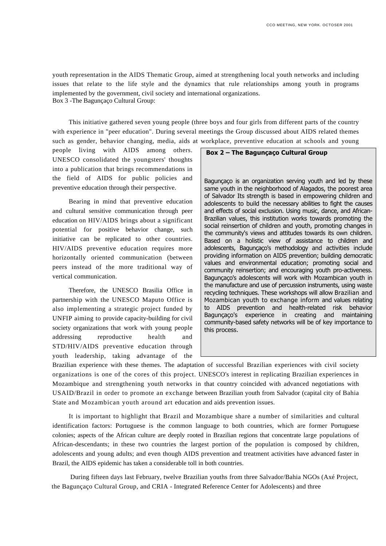youth representation in the AIDS Thematic Group, aimed at strengthening local youth networks and including issues that relate to the life style and the dynamics that rule relationships among youth in programs implemented by the government, civil society and international organizations. Box 3 -The Bagunçaço Cultural Group:

This initiative gathered seven young people (three boys and four girls from different parts of the country with experience in "peer education". During several meetings the Group discussed about AIDS related themes such as gender, behavior changing, media, aids at workplace, preventive education at schools and young

people living with AIDS among others. UNESCO consolidated the youngsters' thoughts into a publication that brings recommendations in the field of AIDS for public policies and preventive education through their perspective.

Bearing in mind that preventive education and cultural sensitive communication through peer education on HIV/AIDS brings about a significant potential for positive behavior change, such initiative can be replicated to other countries. HIV/AIDS preventive education requires more horizontally oriented communication (between peers instead of the more traditional way of vertical communication.

Therefore, the UNESCO Brasilia Office in partnership with the UNESCO Maputo Office is also implementing a strategic project funded by UNFIP aiming to provide capacity-building for civil society organizations that work with young people addressing reproductive health and STD/HIV/AIDS preventive education through youth leadership, taking advantage of the

#### **Box 2 – The Bagunçaço Cultural Group**

Bagunçaço is an organization serving youth and led by these same youth in the neighborhood of Alagados, the poorest area of Salvador Its strength is based in empowering children and adolescents to build the necessary abilities to fight the causes and effects of social exclusion. Using music, dance, and African-Brazilian values, this institution works towards promoting the social reinsertion of children and youth, promoting changes in the community's views and attitudes towards its own children. Based on a holistic view of assistance to children and adolescents, Bagunçaço's methodology and activities include providing information on AIDS prevention; building democratic values and environmental education; promoting social and community reinsertion; and encouraging youth pro-activeness. Bagunçaço's adolescents will work with Mozambican youth in the manufacture and use of percussion instruments, using waste recycling techniques. These workshops will allow Brazilian and Mozambican youth to exchange inform and values relating to AIDS prevention and health-related risk behavior Bagunçaço's experience in creating and maintaining community-based safety networks will be of key importance to this process.

Brazilian experience with these themes. The adaptation of successful Brazilian experiences with civil society organizations is one of the cores of this project. UNESCO's interest in replicating Brazilian experiences in Mozambique and strengthening youth networks in that country coincided with advanced negotiations with USAID/Brazil in order to promote an exchange between Brazilian youth from Salvador (capital city of Bahia State and Mozambican youth around art education and aids prevention issues.

It is important to highlight that Brazil and Mozambique share a number of similarities and cultural identification factors: Portuguese is the common language to both countries, which are former Portuguese colonies; aspects of the African culture are deeply rooted in Brazilian regions that concentrate large populations of African-descendants; in these two countries the largest portion of the population is composed by children, adolescents and young adults; and even though AIDS prevention and treatment activities have advanced faster in Brazil, the AIDS epidemic has taken a considerable toll in both countries.

During fifteen days last February, twelve Brazilian youths from three Salvador/Bahia NGOs (Axé Project, the Bagunçaço Cultural Group, and CRIA - Integrated Reference Center for Adolescents) and three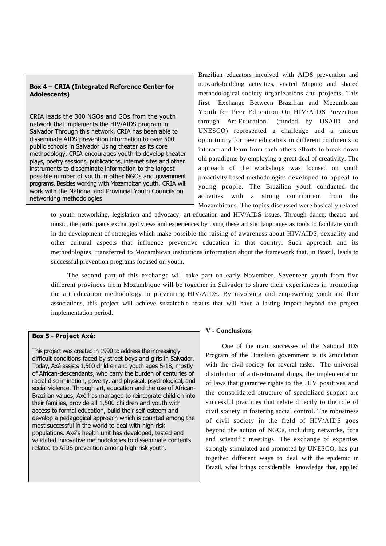### **Box 4 – CRIA (Integrated Reference Center for Adolescents)**

CRIA leads the 300 NGOs and GOs from the youth network that implements the HIV/AIDS program in Salvador Through this network, CRIA has been able to disseminate AIDS prevention information to over 500 public schools in Salvador Using theater as its core methodology, CRIA encourages youth to develop theater plays, poetry sessions, publications, internet sites and other instruments to disseminate information to the largest possible number of youth in other NGOs and government programs. Besides working with Mozambican youth, CRIA will work with the National and Provincial Youth Councils on networking methodologies

Brazilian educators involved with AIDS prevention and network-building activities, visited Maputo and shared methodological society organizations and projects. This first "Exchange Between Brazilian and Mozambican Youth for Peer Education On HIV/AIDS Prevention through Art-Education" (funded by USAID and UNESCO) represented a challenge and a unique opportunity for peer educators in different continents to interact and learn from each others efforts to break down old paradigms by employing a great deal of creativity. The approach of the workshops was focused on youth proactivity-based methodologies developed to appeal to young people. The Brazilian youth conducted the activities with a strong contribution from the Mozambicans. The topics discussed were basically related

to youth networking, legislation and advocacy, art-education and HIV/AIDS issues. Through dance, theatre and music, the participants exchanged views and experiences by using these artistic languages as tools to facilitate youth in the development of strategies which make possible the raising of awareness about HIV/AIDS, sexuality and other cultural aspects that influence preventive education in that country. Such approach and its methodologies, transferred to Mozambican institutions information about the framework that, in Brazil, leads to successful prevention programs focused on youth.

The second part of this exchange will take part on early November. Seventeen youth from five different provinces from Mozambique will be together in Salvador to share their experiences in promoting the art education methodology in preventing HIV/AIDS. By involving and empowering youth and their associations, this project will achieve sustainable results that will have a lasting impact beyond the project implementation period.

#### **Box 5 - Project Axé:**

This project was created in 1990 to address the increasingly difficult conditions faced by street boys and girls in Salvador. Today, Axé assists 1,500 children and youth ages 5-18, mostly of African-descendants, who carry the burden of centuries of racial discrimination, poverty, and physical, psychological, and social violence. Through art, education and the use of African-Brazilian values, Axé has managed to reintegrate children into their families, provide all 1,500 children and youth with access to formal education, build their self-esteem and develop a pedagogical approach which is counted among the most successful in the world to deal with high-risk populations. Axé's health unit has developed, tested and validated innovative methodologies to disseminate contents related to AIDS prevention among high-risk youth.

#### **V - Conclusions**

One of the main successes of the National IDS Program of the Brazilian government is its articulation with the civil society for several tasks. The universal distribution of anti-retroviral drugs, the implementation of laws that guarantee rights to the HIV positives and the consolidated structure of specialized support are successful practices that relate directly to the role of civil society in fostering social control. The robustness of civil society in the field of HIV/AIDS goes beyond the action of NGOs, including networks, fora and scientific meetings. The exchange of expertise, strongly stimulated and promoted by UNESCO, has put together different ways to deal with the epidemic in Brazil, what brings considerable knowledge that, applied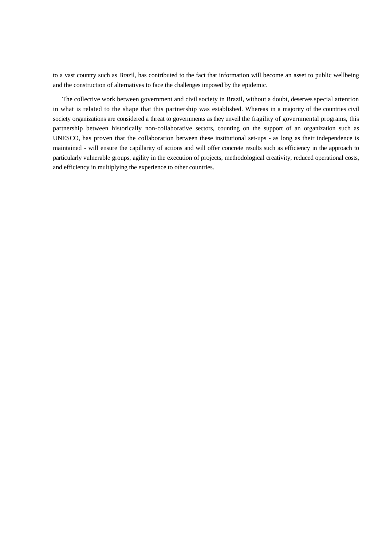to a vast country such as Brazil, has contributed to the fact that information will become an asset to public wellbeing and the construction of alternatives to face the challenges imposed by the epidemic.

The collective work between government and civil society in Brazil, without a doubt, deserves special attention in what is related to the shape that this partnership was established. Whereas in a majority of the countries civil society organizations are considered a threat to governments as they unveil the fragility of governmental programs, this partnership between historically non-collaborative sectors, counting on the support of an organization such as UNESCO, has proven that the collaboration between these institutional set-ups - as long as their independence is maintained - will ensure the capillarity of actions and will offer concrete results such as efficiency in the approach to particularly vulnerable groups, agility in the execution of projects, methodological creativity, reduced operational costs, and efficiency in multiplying the experience to other countries.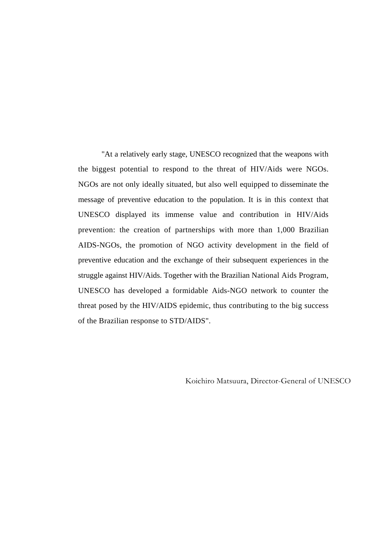"At a relatively early stage, UNESCO recognized that the weapons with the biggest potential to respond to the threat of HIV/Aids were NGOs. NGOs are not only ideally situated, but also well equipped to disseminate the message of preventive education to the population. It is in this context that UNESCO displayed its immense value and contribution in HIV/Aids prevention: the creation of partnerships with more than 1,000 Brazilian AIDS-NGOs, the promotion of NGO activity development in the field of preventive education and the exchange of their subsequent experiences in the struggle against HIV/Aids. Together with the Brazilian National Aids Program, UNESCO has developed a formidable Aids-NGO network to counter the threat posed by the HIV/AIDS epidemic, thus contributing to the big success of the Brazilian response to STD/AIDS".

Koichiro Matsuura, Director-General of UNESCO